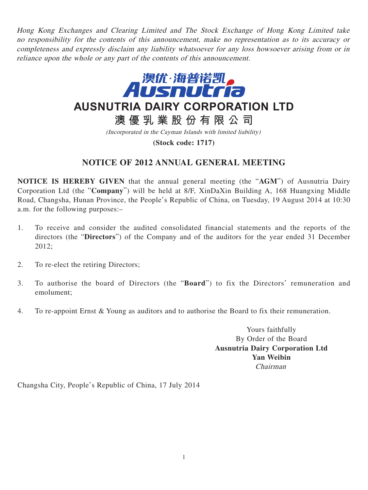Hong Kong Exchanges and Clearing Limited and The Stock Exchange of Hong Kong Limited take no responsibility for the contents of this announcement, make no representation as to its accuracy or completeness and expressly disclaim any liability whatsoever for any loss howsoever arising from or in reliance upon the whole or any part of the contents of this announcement.



**AUSNUTRIA DAIRY CORPORATION LTD**

**澳優乳業股份有限公司**

(Incorporated in the Cayman Islands with limited liability)

**(Stock code: 1717)**

## **NOTICE OF 2012 ANNUAL GENERAL MEETING**

**NOTICE IS HEREBY GIVEN** that the annual general meeting (the "**AGM**") of Ausnutria Dairy Corporation Ltd (the "**Company**") will be held at 8/F, XinDaXin Building A, 168 Huangxing Middle Road, Changsha, Hunan Province, the People's Republic of China, on Tuesday, 19 August 2014 at 10:30 a.m. for the following purposes:–

- 1. To receive and consider the audited consolidated financial statements and the reports of the directors (the "**Directors**") of the Company and of the auditors for the year ended 31 December 2012;
- 2. To re-elect the retiring Directors;
- 3. To authorise the board of Directors (the "**Board**") to fix the Directors' remuneration and emolument;
- 4. To re-appoint Ernst & Young as auditors and to authorise the Board to fix their remuneration.

Yours faithfully By Order of the Board **Ausnutria Dairy Corporation Ltd Yan Weibin** Chairman

Changsha City, People's Republic of China, 17 July 2014